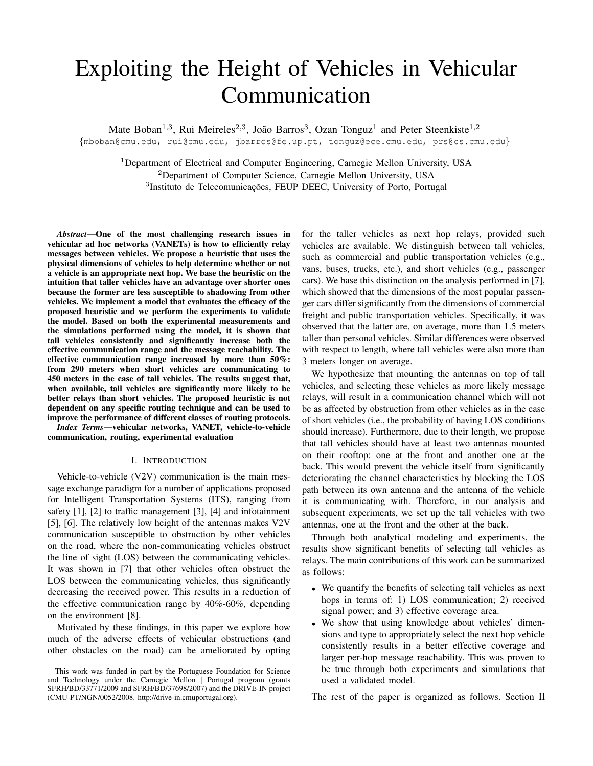# Exploiting the Height of Vehicles in Vehicular Communication

Mate Boban<sup>1,3</sup>, Rui Meireles<sup>2,3</sup>, João Barros<sup>3</sup>, Ozan Tonguz<sup>1</sup> and Peter Steenkiste<sup>1,2</sup>

{mboban@cmu.edu, rui@cmu.edu, jbarros@fe.up.pt, tonguz@ece.cmu.edu, prs@cs.cmu.edu}

<sup>1</sup>Department of Electrical and Computer Engineering, Carnegie Mellon University, USA <sup>2</sup>Department of Computer Science, Carnegie Mellon University, USA <sup>3</sup>Instituto de Telecomunicações, FEUP DEEC, University of Porto, Portugal

*Abstract*—One of the most challenging research issues in vehicular ad hoc networks (VANETs) is how to efficiently relay messages between vehicles. We propose a heuristic that uses the physical dimensions of vehicles to help determine whether or not a vehicle is an appropriate next hop. We base the heuristic on the intuition that taller vehicles have an advantage over shorter ones because the former are less susceptible to shadowing from other vehicles. We implement a model that evaluates the efficacy of the proposed heuristic and we perform the experiments to validate the model. Based on both the experimental measurements and the simulations performed using the model, it is shown that tall vehicles consistently and significantly increase both the effective communication range and the message reachability. The effective communication range increased by more than 50%: from 290 meters when short vehicles are communicating to 450 meters in the case of tall vehicles. The results suggest that, when available, tall vehicles are significantly more likely to be better relays than short vehicles. The proposed heuristic is not dependent on any specific routing technique and can be used to improve the performance of different classes of routing protocols.

*Index Terms*—vehicular networks, VANET, vehicle-to-vehicle communication, routing, experimental evaluation

## I. INTRODUCTION

Vehicle-to-vehicle (V2V) communication is the main message exchange paradigm for a number of applications proposed for Intelligent Transportation Systems (ITS), ranging from safety [1], [2] to traffic management [3], [4] and infotainment [5], [6]. The relatively low height of the antennas makes V2V communication susceptible to obstruction by other vehicles on the road, where the non-communicating vehicles obstruct the line of sight (LOS) between the communicating vehicles. It was shown in [7] that other vehicles often obstruct the LOS between the communicating vehicles, thus significantly decreasing the received power. This results in a reduction of the effective communication range by 40%-60%, depending on the environment [8].

Motivated by these findings, in this paper we explore how much of the adverse effects of vehicular obstructions (and other obstacles on the road) can be ameliorated by opting for the taller vehicles as next hop relays, provided such vehicles are available. We distinguish between tall vehicles, such as commercial and public transportation vehicles (e.g., vans, buses, trucks, etc.), and short vehicles (e.g., passenger cars). We base this distinction on the analysis performed in [7], which showed that the dimensions of the most popular passenger cars differ significantly from the dimensions of commercial freight and public transportation vehicles. Specifically, it was observed that the latter are, on average, more than 1.5 meters taller than personal vehicles. Similar differences were observed with respect to length, where tall vehicles were also more than 3 meters longer on average.

We hypothesize that mounting the antennas on top of tall vehicles, and selecting these vehicles as more likely message relays, will result in a communication channel which will not be as affected by obstruction from other vehicles as in the case of short vehicles (i.e., the probability of having LOS conditions should increase). Furthermore, due to their length, we propose that tall vehicles should have at least two antennas mounted on their rooftop: one at the front and another one at the back. This would prevent the vehicle itself from significantly deteriorating the channel characteristics by blocking the LOS path between its own antenna and the antenna of the vehicle it is communicating with. Therefore, in our analysis and subsequent experiments, we set up the tall vehicles with two antennas, one at the front and the other at the back.

Through both analytical modeling and experiments, the results show significant benefits of selecting tall vehicles as relays. The main contributions of this work can be summarized as follows:

- We quantify the benefits of selecting tall vehicles as next hops in terms of: 1) LOS communication; 2) received signal power; and 3) effective coverage area.
- We show that using knowledge about vehicles' dimensions and type to appropriately select the next hop vehicle consistently results in a better effective coverage and larger per-hop message reachability. This was proven to be true through both experiments and simulations that used a validated model.

The rest of the paper is organized as follows. Section II

This work was funded in part by the Portuguese Foundation for Science and Technology under the Carnegie Mellon | Portugal program (grants SFRH/BD/33771/2009 and SFRH/BD/37698/2007) and the DRIVE-IN project (CMU-PT/NGN/0052/2008. http://drive-in.cmuportugal.org).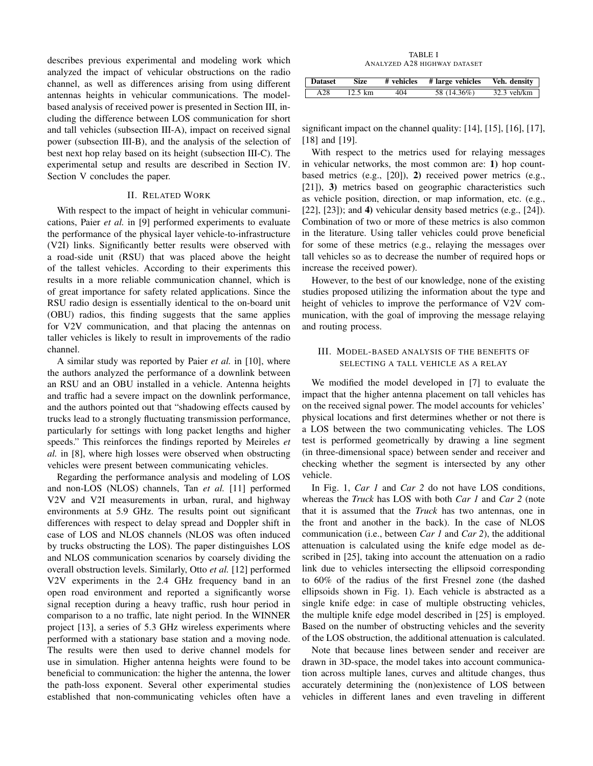describes previous experimental and modeling work which analyzed the impact of vehicular obstructions on the radio channel, as well as differences arising from using different antennas heights in vehicular communications. The modelbased analysis of received power is presented in Section III, including the difference between LOS communication for short and tall vehicles (subsection III-A), impact on received signal power (subsection III-B), and the analysis of the selection of best next hop relay based on its height (subsection III-C). The experimental setup and results are described in Section IV. Section V concludes the paper.

## II. RELATED WORK

With respect to the impact of height in vehicular communications, Paier *et al.* in [9] performed experiments to evaluate the performance of the physical layer vehicle-to-infrastructure (V2I) links. Significantly better results were observed with a road-side unit (RSU) that was placed above the height of the tallest vehicles. According to their experiments this results in a more reliable communication channel, which is of great importance for safety related applications. Since the RSU radio design is essentially identical to the on-board unit (OBU) radios, this finding suggests that the same applies for V2V communication, and that placing the antennas on taller vehicles is likely to result in improvements of the radio channel.

A similar study was reported by Paier *et al.* in [10], where the authors analyzed the performance of a downlink between an RSU and an OBU installed in a vehicle. Antenna heights and traffic had a severe impact on the downlink performance, and the authors pointed out that "shadowing effects caused by trucks lead to a strongly fluctuating transmission performance, particularly for settings with long packet lengths and higher speeds." This reinforces the findings reported by Meireles *et al.* in [8], where high losses were observed when obstructing vehicles were present between communicating vehicles.

Regarding the performance analysis and modeling of LOS and non-LOS (NLOS) channels, Tan *et al.* [11] performed V2V and V2I measurements in urban, rural, and highway environments at 5.9 GHz. The results point out significant differences with respect to delay spread and Doppler shift in case of LOS and NLOS channels (NLOS was often induced by trucks obstructing the LOS). The paper distinguishes LOS and NLOS communication scenarios by coarsely dividing the overall obstruction levels. Similarly, Otto *et al.* [12] performed V2V experiments in the 2.4 GHz frequency band in an open road environment and reported a significantly worse signal reception during a heavy traffic, rush hour period in comparison to a no traffic, late night period. In the WINNER project [13], a series of 5.3 GHz wireless experiments where performed with a stationary base station and a moving node. The results were then used to derive channel models for use in simulation. Higher antenna heights were found to be beneficial to communication: the higher the antenna, the lower the path-loss exponent. Several other experimental studies established that non-communicating vehicles often have a

TABLE I ANALYZED A28 HIGHWAY DATASET

| <b>Dataset</b> | Size    |     | # vehicles # large vehicles Veh. density |               |
|----------------|---------|-----|------------------------------------------|---------------|
| A28            | 12.5 km | 404 | 58 (14.36%)                              | $32.3$ veh/km |

significant impact on the channel quality: [14], [15], [16], [17], [18] and [19].

With respect to the metrics used for relaying messages in vehicular networks, the most common are: 1) hop countbased metrics (e.g., [20]), 2) received power metrics (e.g., [21]), 3) metrics based on geographic characteristics such as vehicle position, direction, or map information, etc. (e.g., [22], [23]); and 4) vehicular density based metrics (e.g., [24]). Combination of two or more of these metrics is also common in the literature. Using taller vehicles could prove beneficial for some of these metrics (e.g., relaying the messages over tall vehicles so as to decrease the number of required hops or increase the received power).

However, to the best of our knowledge, none of the existing studies proposed utilizing the information about the type and height of vehicles to improve the performance of V2V communication, with the goal of improving the message relaying and routing process.

# III. MODEL-BASED ANALYSIS OF THE BENEFITS OF SELECTING A TALL VEHICLE AS A RELAY

We modified the model developed in [7] to evaluate the impact that the higher antenna placement on tall vehicles has on the received signal power. The model accounts for vehicles' physical locations and first determines whether or not there is a LOS between the two communicating vehicles. The LOS test is performed geometrically by drawing a line segment (in three-dimensional space) between sender and receiver and checking whether the segment is intersected by any other vehicle.

In Fig. 1, *Car 1* and *Car 2* do not have LOS conditions, whereas the *Truck* has LOS with both *Car 1* and *Car 2* (note that it is assumed that the *Truck* has two antennas, one in the front and another in the back). In the case of NLOS communication (i.e., between *Car 1* and *Car 2*), the additional attenuation is calculated using the knife edge model as described in [25], taking into account the attenuation on a radio link due to vehicles intersecting the ellipsoid corresponding to 60% of the radius of the first Fresnel zone (the dashed ellipsoids shown in Fig. 1). Each vehicle is abstracted as a single knife edge: in case of multiple obstructing vehicles, the multiple knife edge model described in [25] is employed. Based on the number of obstructing vehicles and the severity of the LOS obstruction, the additional attenuation is calculated.

Note that because lines between sender and receiver are drawn in 3D-space, the model takes into account communication across multiple lanes, curves and altitude changes, thus accurately determining the (non)existence of LOS between vehicles in different lanes and even traveling in different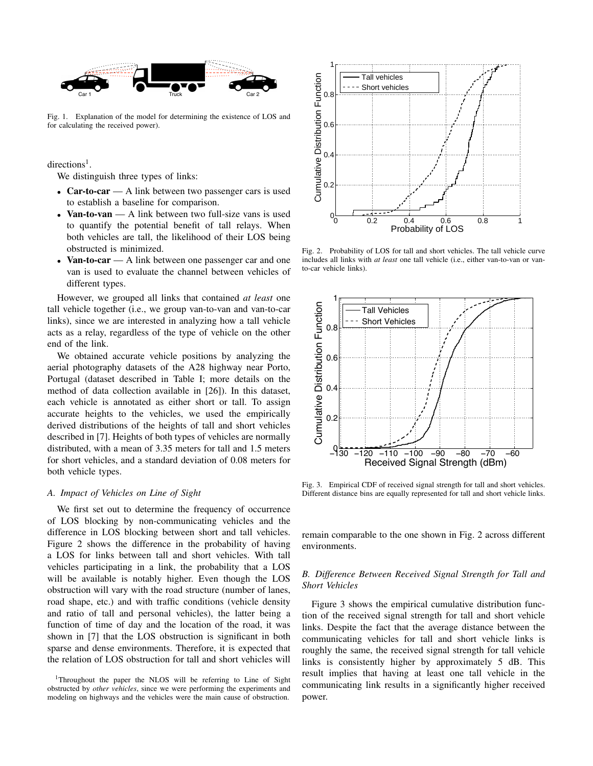

Fig. 1. Explanation of the model for determining the existence of LOS and for calculating the received power).

directions<sup>1</sup>.

We distinguish three types of links:

- Car-to-car A link between two passenger cars is used to establish a baseline for comparison.
- Van-to-van A link between two full-size vans is used to quantify the potential benefit of tall relays. When both vehicles are tall, the likelihood of their LOS being obstructed is minimized.
- Van-to-car A link between one passenger car and one van is used to evaluate the channel between vehicles of different types.

However, we grouped all links that contained *at least* one tall vehicle together (i.e., we group van-to-van and van-to-car links), since we are interested in analyzing how a tall vehicle acts as a relay, regardless of the type of vehicle on the other end of the link.

We obtained accurate vehicle positions by analyzing the aerial photography datasets of the A28 highway near Porto, Portugal (dataset described in Table I; more details on the method of data collection available in [26]). In this dataset, each vehicle is annotated as either short or tall. To assign accurate heights to the vehicles, we used the empirically derived distributions of the heights of tall and short vehicles described in [7]. Heights of both types of vehicles are normally distributed, with a mean of 3.35 meters for tall and 1.5 meters for short vehicles, and a standard deviation of 0.08 meters for both vehicle types.

## *A. Impact of Vehicles on Line of Sight*

We first set out to determine the frequency of occurrence of LOS blocking by non-communicating vehicles and the difference in LOS blocking between short and tall vehicles. Figure 2 shows the difference in the probability of having a LOS for links between tall and short vehicles. With tall vehicles participating in a link, the probability that a LOS will be available is notably higher. Even though the LOS obstruction will vary with the road structure (number of lanes, road shape, etc.) and with traffic conditions (vehicle density and ratio of tall and personal vehicles), the latter being a function of time of day and the location of the road, it was shown in [7] that the LOS obstruction is significant in both sparse and dense environments. Therefore, it is expected that the relation of LOS obstruction for tall and short vehicles will



Fig. 2. Probability of LOS for tall and short vehicles. The tall vehicle curve includes all links with *at least* one tall vehicle (i.e., either van-to-van or vanto-car vehicle links).



Fig. 3. Empirical CDF of received signal strength for tall and short vehicles. Different distance bins are equally represented for tall and short vehicle links.

remain comparable to the one shown in Fig. 2 across different environments.

# *B. Difference Between Received Signal Strength for Tall and Short Vehicles*

Figure 3 shows the empirical cumulative distribution function of the received signal strength for tall and short vehicle links. Despite the fact that the average distance between the communicating vehicles for tall and short vehicle links is roughly the same, the received signal strength for tall vehicle links is consistently higher by approximately 5 dB. This result implies that having at least one tall vehicle in the communicating link results in a significantly higher received power.

<sup>&</sup>lt;sup>1</sup>Throughout the paper the NLOS will be referring to Line of Sight obstructed by *other vehicles*, since we were performing the experiments and modeling on highways and the vehicles were the main cause of obstruction.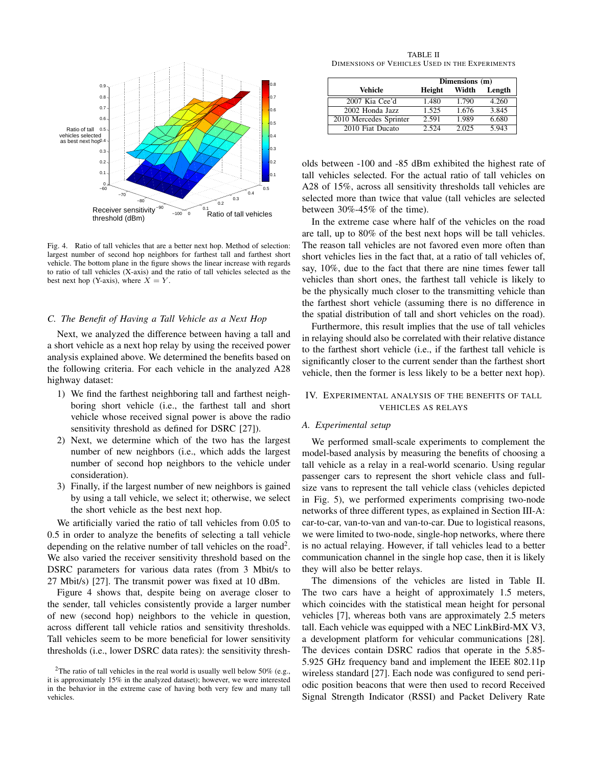

Fig. 4. Ratio of tall vehicles that are a better next hop. Method of selection: largest number of second hop neighbors for farthest tall and farthest short vehicle. The bottom plane in the figure shows the linear increase with regards to ratio of tall vehicles (X-axis) and the ratio of tall vehicles selected as the best next hop (Y-axis), where  $X = Y$ .

## *C. The Benefit of Having a Tall Vehicle as a Next Hop*

Next, we analyzed the difference between having a tall and a short vehicle as a next hop relay by using the received power analysis explained above. We determined the benefits based on the following criteria. For each vehicle in the analyzed A28 highway dataset:

- 1) We find the farthest neighboring tall and farthest neighboring short vehicle (i.e., the farthest tall and short vehicle whose received signal power is above the radio sensitivity threshold as defined for DSRC [27]).
- 2) Next, we determine which of the two has the largest number of new neighbors (i.e., which adds the largest number of second hop neighbors to the vehicle under consideration).
- 3) Finally, if the largest number of new neighbors is gained by using a tall vehicle, we select it; otherwise, we select the short vehicle as the best next hop.

We artificially varied the ratio of tall vehicles from 0.05 to 0.5 in order to analyze the benefits of selecting a tall vehicle depending on the relative number of tall vehicles on the road<sup>2</sup>. We also varied the receiver sensitivity threshold based on the DSRC parameters for various data rates (from 3 Mbit/s to 27 Mbit/s) [27]. The transmit power was fixed at 10 dBm.

Figure 4 shows that, despite being on average closer to the sender, tall vehicles consistently provide a larger number of new (second hop) neighbors to the vehicle in question, across different tall vehicle ratios and sensitivity thresholds. Tall vehicles seem to be more beneficial for lower sensitivity thresholds (i.e., lower DSRC data rates): the sensitivity thresh-

TABLE II DIMENSIONS OF VEHICLES USED IN THE EXPERIMENTS

|                        | Dimensions (m) |       |        |
|------------------------|----------------|-------|--------|
| Vehicle                | Height         | Width | Length |
| 2007 Kia Cee'd         | 1.480          | 1.790 | 4.260  |
| 2002 Honda Jazz        | 1.525          | 1.676 | 3.845  |
| 2010 Mercedes Sprinter | 2.591          | 1.989 | 6.680  |
| 2010 Fiat Ducato       | 2.524          | 2.025 | 5.943  |

olds between -100 and -85 dBm exhibited the highest rate of tall vehicles selected. For the actual ratio of tall vehicles on A28 of 15%, across all sensitivity thresholds tall vehicles are selected more than twice that value (tall vehicles are selected between 30%-45% of the time).

In the extreme case where half of the vehicles on the road are tall, up to 80% of the best next hops will be tall vehicles. The reason tall vehicles are not favored even more often than short vehicles lies in the fact that, at a ratio of tall vehicles of, say, 10%, due to the fact that there are nine times fewer tall vehicles than short ones, the farthest tall vehicle is likely to be the physically much closer to the transmitting vehicle than the farthest short vehicle (assuming there is no difference in the spatial distribution of tall and short vehicles on the road).

Furthermore, this result implies that the use of tall vehicles in relaying should also be correlated with their relative distance to the farthest short vehicle (i.e., if the farthest tall vehicle is significantly closer to the current sender than the farthest short vehicle, then the former is less likely to be a better next hop).

# IV. EXPERIMENTAL ANALYSIS OF THE BENEFITS OF TALL VEHICLES AS RELAYS

# *A. Experimental setup*

We performed small-scale experiments to complement the model-based analysis by measuring the benefits of choosing a tall vehicle as a relay in a real-world scenario. Using regular passenger cars to represent the short vehicle class and fullsize vans to represent the tall vehicle class (vehicles depicted in Fig. 5), we performed experiments comprising two-node networks of three different types, as explained in Section III-A: car-to-car, van-to-van and van-to-car. Due to logistical reasons, we were limited to two-node, single-hop networks, where there is no actual relaying. However, if tall vehicles lead to a better communication channel in the single hop case, then it is likely they will also be better relays.

The dimensions of the vehicles are listed in Table II. The two cars have a height of approximately 1.5 meters, which coincides with the statistical mean height for personal vehicles [7], whereas both vans are approximately 2.5 meters tall. Each vehicle was equipped with a NEC LinkBird-MX V3, a development platform for vehicular communications [28]. The devices contain DSRC radios that operate in the 5.85- 5.925 GHz frequency band and implement the IEEE 802.11p wireless standard [27]. Each node was configured to send periodic position beacons that were then used to record Received Signal Strength Indicator (RSSI) and Packet Delivery Rate

<sup>&</sup>lt;sup>2</sup>The ratio of tall vehicles in the real world is usually well below 50% (e.g., it is approximately 15% in the analyzed dataset); however, we were interested in the behavior in the extreme case of having both very few and many tall vehicles.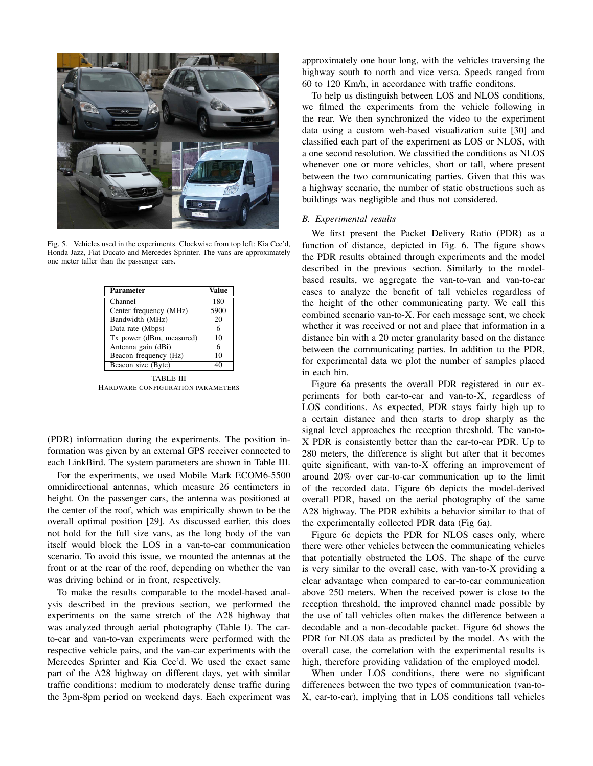

Fig. 5. Vehicles used in the experiments. Clockwise from top left: Kia Cee'd, Honda Jazz, Fiat Ducato and Mercedes Sprinter. The vans are approximately one meter taller than the passenger cars.

| <b>Parameter</b>         | Value |
|--------------------------|-------|
| Channel                  | 180   |
| Center frequency (MHz)   | 5900  |
| Bandwidth (MHz)          | 20    |
| Data rate (Mbps)         | 6     |
| Tx power (dBm, measured) | 10    |
| Antenna gain (dBi)       | 6     |
| Beacon frequency (Hz)    | 10    |
| Beacon size (Byte)       |       |

TABLE III HARDWARE CONFIGURATION PARAMETERS

(PDR) information during the experiments. The position information was given by an external GPS receiver connected to each LinkBird. The system parameters are shown in Table III.

For the experiments, we used Mobile Mark ECOM6-5500 omnidirectional antennas, which measure 26 centimeters in height. On the passenger cars, the antenna was positioned at the center of the roof, which was empirically shown to be the overall optimal position [29]. As discussed earlier, this does not hold for the full size vans, as the long body of the van itself would block the LOS in a van-to-car communication scenario. To avoid this issue, we mounted the antennas at the front or at the rear of the roof, depending on whether the van was driving behind or in front, respectively.

To make the results comparable to the model-based analysis described in the previous section, we performed the experiments on the same stretch of the A28 highway that was analyzed through aerial photography (Table I). The carto-car and van-to-van experiments were performed with the respective vehicle pairs, and the van-car experiments with the Mercedes Sprinter and Kia Cee'd. We used the exact same part of the A28 highway on different days, yet with similar traffic conditions: medium to moderately dense traffic during the 3pm-8pm period on weekend days. Each experiment was

approximately one hour long, with the vehicles traversing the highway south to north and vice versa. Speeds ranged from 60 to 120 Km/h, in accordance with traffic conditons.

To help us distinguish between LOS and NLOS conditions, we filmed the experiments from the vehicle following in the rear. We then synchronized the video to the experiment data using a custom web-based visualization suite [30] and classified each part of the experiment as LOS or NLOS, with a one second resolution. We classified the conditions as NLOS whenever one or more vehicles, short or tall, where present between the two communicating parties. Given that this was a highway scenario, the number of static obstructions such as buildings was negligible and thus not considered.

#### *B. Experimental results*

We first present the Packet Delivery Ratio (PDR) as a function of distance, depicted in Fig. 6. The figure shows the PDR results obtained through experiments and the model described in the previous section. Similarly to the modelbased results, we aggregate the van-to-van and van-to-car cases to analyze the benefit of tall vehicles regardless of the height of the other communicating party. We call this combined scenario van-to-X. For each message sent, we check whether it was received or not and place that information in a distance bin with a 20 meter granularity based on the distance between the communicating parties. In addition to the PDR, for experimental data we plot the number of samples placed in each bin.

Figure 6a presents the overall PDR registered in our experiments for both car-to-car and van-to-X, regardless of LOS conditions. As expected, PDR stays fairly high up to a certain distance and then starts to drop sharply as the signal level approaches the reception threshold. The van-to-X PDR is consistently better than the car-to-car PDR. Up to 280 meters, the difference is slight but after that it becomes quite significant, with van-to-X offering an improvement of around 20% over car-to-car communication up to the limit of the recorded data. Figure 6b depicts the model-derived overall PDR, based on the aerial photography of the same A28 highway. The PDR exhibits a behavior similar to that of the experimentally collected PDR data (Fig 6a).

Figure 6c depicts the PDR for NLOS cases only, where there were other vehicles between the communicating vehicles that potentially obstructed the LOS. The shape of the curve is very similar to the overall case, with van-to-X providing a clear advantage when compared to car-to-car communication above 250 meters. When the received power is close to the reception threshold, the improved channel made possible by the use of tall vehicles often makes the difference between a decodable and a non-decodable packet. Figure 6d shows the PDR for NLOS data as predicted by the model. As with the overall case, the correlation with the experimental results is high, therefore providing validation of the employed model.

When under LOS conditions, there were no significant differences between the two types of communication (van-to-X, car-to-car), implying that in LOS conditions tall vehicles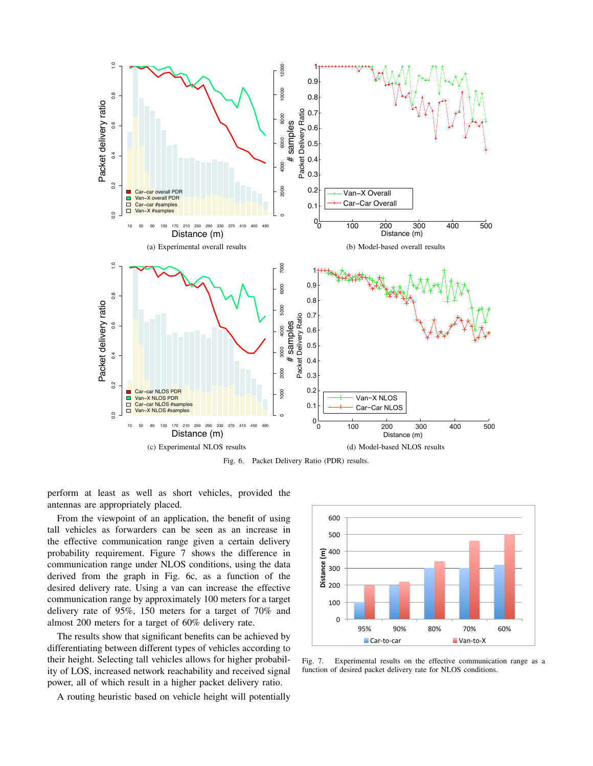

Fig. 6. Packet Delivery Ratio (PDR) results.

perform at least as well as short vehicles, provided the antennas are appropriately placed.

From the viewpoint of an application, the benefit of using tall vehicles as forwarders can be seen as an increase in the effective communication range given a certain delivery probability requirement. Figure 7 shows the difference in communication range under NLOS conditions, using the data derived from the graph in Fig. 6c, as a function of the desired delivery rate. Using a van can increase the effective communication range by approximately 100 meters for a target delivery rate of 95%, 150 meters for a target of 70% and almost 200 meters for a target of 60% delivery rate.

The results show that significant benefits can be achieved by differentiating between different types of vehicles according to their height. Selecting tall vehicles allows for higher probability of LOS, increased network reachability and received signal power, all of which result in a higher packet delivery ratio.

A routing heuristic based on vehicle height will potentially



Fig. 7. Experimental results on the effective communication range as a function of desired packet delivery rate for NLOS conditions.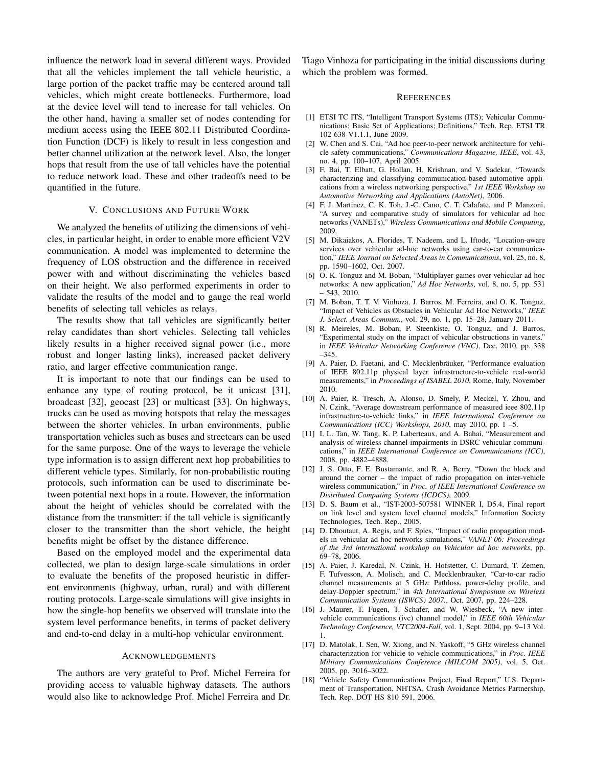influence the network load in several different ways. Provided that all the vehicles implement the tall vehicle heuristic, a large portion of the packet traffic may be centered around tall vehicles, which might create bottlenecks. Furthermore, load at the device level will tend to increase for tall vehicles. On the other hand, having a smaller set of nodes contending for medium access using the IEEE 802.11 Distributed Coordination Function (DCF) is likely to result in less congestion and better channel utilization at the network level. Also, the longer hops that result from the use of tall vehicles have the potential to reduce network load. These and other tradeoffs need to be quantified in the future.

## V. CONCLUSIONS AND FUTURE WORK

We analyzed the benefits of utilizing the dimensions of vehicles, in particular height, in order to enable more efficient V2V communication. A model was implemented to determine the frequency of LOS obstruction and the difference in received power with and without discriminating the vehicles based on their height. We also performed experiments in order to validate the results of the model and to gauge the real world benefits of selecting tall vehicles as relays.

The results show that tall vehicles are significantly better relay candidates than short vehicles. Selecting tall vehicles likely results in a higher received signal power (i.e., more robust and longer lasting links), increased packet delivery ratio, and larger effective communication range.

It is important to note that our findings can be used to enhance any type of routing protocol, be it unicast [31], broadcast [32], geocast [23] or multicast [33]. On highways, trucks can be used as moving hotspots that relay the messages between the shorter vehicles. In urban environments, public transportation vehicles such as buses and streetcars can be used for the same purpose. One of the ways to leverage the vehicle type information is to assign different next hop probabilities to different vehicle types. Similarly, for non-probabilistic routing protocols, such information can be used to discriminate between potential next hops in a route. However, the information about the height of vehicles should be correlated with the distance from the transmitter: if the tall vehicle is significantly closer to the transmitter than the short vehicle, the height benefits might be offset by the distance difference.

Based on the employed model and the experimental data collected, we plan to design large-scale simulations in order to evaluate the benefits of the proposed heuristic in different environments (highway, urban, rural) and with different routing protocols. Large-scale simulations will give insights in how the single-hop benefits we observed will translate into the system level performance benefits, in terms of packet delivery and end-to-end delay in a multi-hop vehicular environment.

#### ACKNOWLEDGEMENTS

The authors are very grateful to Prof. Michel Ferreira for providing access to valuable highway datasets. The authors would also like to acknowledge Prof. Michel Ferreira and Dr.

Tiago Vinhoza for participating in the initial discussions during which the problem was formed.

#### **REFERENCES**

- [1] ETSI TC ITS, "Intelligent Transport Systems (ITS); Vehicular Communications; Basic Set of Applications; Definitions," Tech. Rep. ETSI TR 102 638 V1.1.1, June 2009.
- [2] W. Chen and S. Cai, "Ad hoc peer-to-peer network architecture for vehicle safety communications," *Communications Magazine, IEEE*, vol. 43, no. 4, pp. 100–107, April 2005.
- [3] F. Bai, T. Elbatt, G. Hollan, H. Krishnan, and V. Sadekar, "Towards characterizing and classifying communication-based automotive applications from a wireless networking perspective," *1st IEEE Workshop on Automotive Networking and Applications (AutoNet)*, 2006.
- [4] F. J. Martinez, C. K. Toh, J.-C. Cano, C. T. Calafate, and P. Manzoni, "A survey and comparative study of simulators for vehicular ad hoc networks (VANETs)," *Wireless Communications and Mobile Computing*, 2009.
- [5] M. Dikaiakos, A. Florides, T. Nadeem, and L. Iftode, "Location-aware services over vehicular ad-hoc networks using car-to-car communication," *IEEE Journal on Selected Areas in Communications*, vol. 25, no. 8, pp. 1590–1602, Oct. 2007.
- [6] O. K. Tonguz and M. Boban, "Multiplayer games over vehicular ad hoc networks: A new application," *Ad Hoc Networks*, vol. 8, no. 5, pp. 531  $-543, 2010.$
- [7] M. Boban, T. T. V. Vinhoza, J. Barros, M. Ferreira, and O. K. Tonguz, "Impact of Vehicles as Obstacles in Vehicular Ad Hoc Networks," *IEEE J. Select. Areas Commun.*, vol. 29, no. 1, pp. 15–28, January 2011.
- [8] R. Meireles, M. Boban, P. Steenkiste, O. Tonguz, and J. Barros, "Experimental study on the impact of vehicular obstructions in vanets," in *IEEE Vehicular Networking Conference (VNC)*, Dec. 2010, pp. 338 –345.
- [9] A. Paier, D. Faetani, and C. Mecklenbräuker, "Performance evaluation of IEEE 802.11p physical layer infrastructure-to-vehicle real-world measurements," in *Proceedings of ISABEL 2010*, Rome, Italy, November 2010.
- [10] A. Paier, R. Tresch, A. Alonso, D. Smely, P. Meckel, Y. Zhou, and N. Czink, "Average downstream performance of measured ieee 802.11p infrastructure-to-vehicle links," in *IEEE International Conference on Communications (ICC) Workshops, 2010*, may 2010, pp. 1 –5.
- [11] I. L. Tan, W. Tang, K. P. Laberteaux, and A. Bahai, "Measurement and analysis of wireless channel impairments in DSRC vehicular communications," in *IEEE International Conference on Communications (ICC)*, 2008, pp. 4882–4888.
- [12] J. S. Otto, F. E. Bustamante, and R. A. Berry, "Down the block and around the corner – the impact of radio propagation on inter-vehicle wireless communication," in *Proc. of IEEE International Conference on Distributed Computing Systems (ICDCS)*, 2009.
- [13] D. S. Baum et al., "IST-2003-507581 WINNER I, D5.4, Final report on link level and system level channel models," Information Society Technologies, Tech. Rep., 2005.
- [14] D. Dhoutaut, A. Regis, and F. Spies, "Impact of radio propagation models in vehicular ad hoc networks simulations," *VANET 06: Proceedings of the 3rd international workshop on Vehicular ad hoc networks*, pp. 69–78, 2006.
- [15] A. Paier, J. Karedal, N. Czink, H. Hofstetter, C. Dumard, T. Zemen, F. Tufvesson, A. Molisch, and C. Mecklenbrauker, "Car-to-car radio channel measurements at 5 GHz: Pathloss, power-delay profile, and delay-Doppler spectrum," in *4th International Symposium on Wireless Communication Systems (ISWCS) 2007.*, Oct. 2007, pp. 224–228.
- [16] J. Maurer, T. Fugen, T. Schafer, and W. Wiesbeck, "A new intervehicle communications (ivc) channel model," in *IEEE 60th Vehicular Technology Conference, VTC2004-Fall*, vol. 1, Sept. 2004, pp. 9–13 Vol. 1.
- [17] D. Matolak, I. Sen, W. Xiong, and N. Yaskoff, "5 GHz wireless channel characterization for vehicle to vehicle communications," in *Proc. IEEE Military Communications Conference (MILCOM 2005)*, vol. 5, Oct. 2005, pp. 3016–3022.
- [18] "Vehicle Safety Communications Project, Final Report," U.S. Department of Transportation, NHTSA, Crash Avoidance Metrics Partnership, Tech. Rep. DOT HS 810 591, 2006.